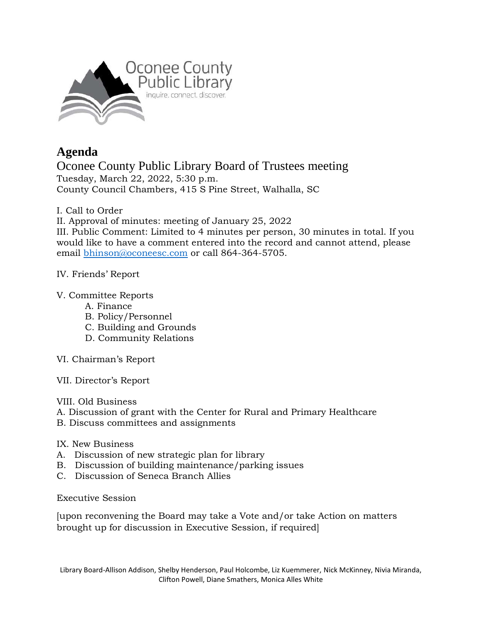

## **Agenda**

Oconee County Public Library Board of Trustees meeting Tuesday, March 22, 2022, 5:30 p.m. County Council Chambers, 415 S Pine Street, Walhalla, SC

I. Call to Order

II. Approval of minutes: meeting of January 25, 2022

III. Public Comment: Limited to 4 minutes per person, 30 minutes in total. If you would like to have a comment entered into the record and cannot attend, please email [bhinson@oconeesc.com](mailto:bhinson@oconeesc.com) or call 864-364-5705.

## IV. Friends' Report

## V. Committee Reports

- A. Finance
- B. Policy/Personnel
- C. Building and Grounds
- D. Community Relations
- VI. Chairman's Report
- VII. Director's Report

VIII. Old Business

- A. Discussion of grant with the Center for Rural and Primary Healthcare
- B. Discuss committees and assignments
- IX. New Business
- A. Discussion of new strategic plan for library
- B. Discussion of building maintenance/parking issues
- C. Discussion of Seneca Branch Allies

Executive Session

[upon reconvening the Board may take a Vote and/or take Action on matters brought up for discussion in Executive Session, if required]